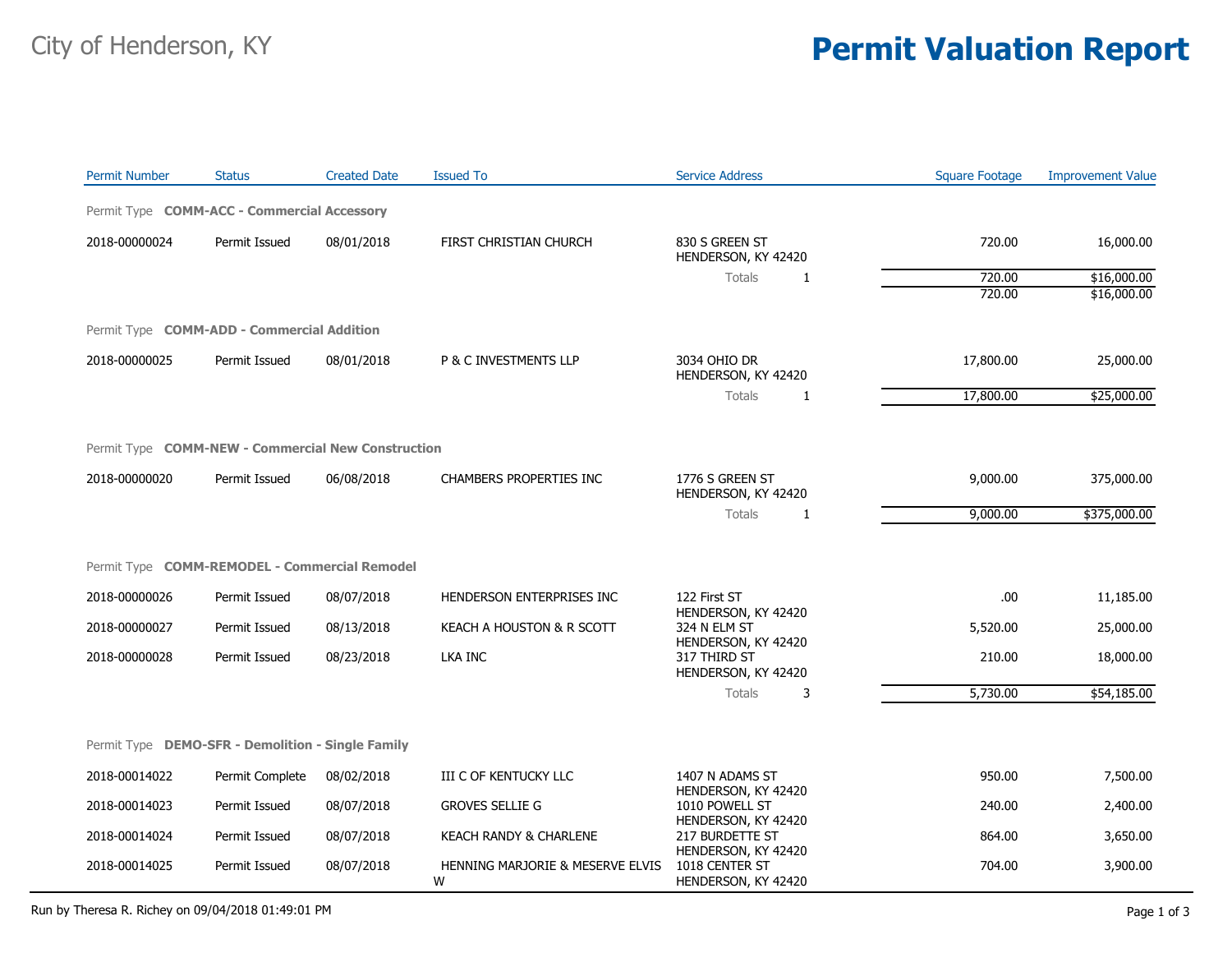## City of Henderson, KY **Permit Valuation Report**

| <b>Permit Number</b>                                      | <b>Status</b>   | <b>Created Date</b> | <b>Issued To</b>                      | <b>Service Address</b>                                        | <b>Square Footage</b> | <b>Improvement Value</b> |  |  |
|-----------------------------------------------------------|-----------------|---------------------|---------------------------------------|---------------------------------------------------------------|-----------------------|--------------------------|--|--|
| Permit Type COMM-ACC - Commercial Accessory               |                 |                     |                                       |                                                               |                       |                          |  |  |
| 2018-00000024                                             | Permit Issued   | 08/01/2018          | FIRST CHRISTIAN CHURCH                | 830 S GREEN ST<br>HENDERSON, KY 42420                         | 720.00                | 16,000.00                |  |  |
|                                                           |                 |                     |                                       | Totals<br>1                                                   | 720.00                | \$16,000.00              |  |  |
|                                                           |                 |                     |                                       |                                                               | 720.00                | \$16,000.00              |  |  |
| Permit Type <b>COMM-ADD - Commercial Addition</b>         |                 |                     |                                       |                                                               |                       |                          |  |  |
| 2018-00000025                                             | Permit Issued   | 08/01/2018          | P & C INVESTMENTS LLP                 | 3034 OHIO DR<br>HENDERSON, KY 42420                           | 17,800.00             | 25,000.00                |  |  |
|                                                           |                 |                     |                                       | <b>Totals</b><br>1                                            | 17,800.00             | \$25,000.00              |  |  |
|                                                           |                 |                     |                                       |                                                               |                       |                          |  |  |
| Permit Type <b>COMM-NEW - Commercial New Construction</b> |                 |                     |                                       |                                                               |                       |                          |  |  |
| 2018-00000020                                             | Permit Issued   | 06/08/2018          | <b>CHAMBERS PROPERTIES INC</b>        | 1776 S GREEN ST<br>HENDERSON, KY 42420                        | 9,000.00              | 375,000.00               |  |  |
|                                                           |                 |                     |                                       | Totals<br>1                                                   | 9,000.00              | \$375,000.00             |  |  |
|                                                           |                 |                     |                                       |                                                               |                       |                          |  |  |
| Permit Type COMM-REMODEL - Commercial Remodel             |                 |                     |                                       |                                                               |                       |                          |  |  |
| 2018-00000026                                             | Permit Issued   | 08/07/2018          | HENDERSON ENTERPRISES INC             | 122 First ST<br>HENDERSON, KY 42420                           | .00                   | 11,185.00                |  |  |
| 2018-00000027                                             | Permit Issued   | 08/13/2018          | KEACH A HOUSTON & R SCOTT             | 324 N ELM ST                                                  | 5,520.00              | 25,000.00                |  |  |
| 2018-00000028                                             | Permit Issued   | 08/23/2018          | <b>LKA INC</b>                        | HENDERSON, KY 42420<br>317 THIRD ST<br>HENDERSON, KY 42420    | 210.00                | 18,000.00                |  |  |
|                                                           |                 |                     |                                       | Totals<br>3                                                   | 5,730.00              | \$54,185.00              |  |  |
|                                                           |                 |                     |                                       |                                                               |                       |                          |  |  |
| Permit Type DEMO-SFR - Demolition - Single Family         |                 |                     |                                       |                                                               |                       |                          |  |  |
| 2018-00014022                                             | Permit Complete | 08/02/2018          | III C OF KENTUCKY LLC                 | 1407 N ADAMS ST                                               | 950.00                | 7,500.00                 |  |  |
| 2018-00014023                                             | Permit Issued   | 08/07/2018          | <b>GROVES SELLIE G</b>                | HENDERSON, KY 42420<br>1010 POWELL ST                         | 240.00                | 2,400.00                 |  |  |
| 2018-00014024                                             | Permit Issued   | 08/07/2018          | KEACH RANDY & CHARLENE                | HENDERSON, KY 42420<br>217 BURDETTE ST<br>HENDERSON, KY 42420 | 864.00                | 3,650.00                 |  |  |
| 2018-00014025                                             | Permit Issued   | 08/07/2018          | HENNING MARJORIE & MESERVE ELVIS<br>W | 1018 CENTER ST<br>HENDERSON, KY 42420                         | 704.00                | 3,900.00                 |  |  |

Run by Theresa R. Richey on 09/04/2018 01:49:01 PM Page 1 of 3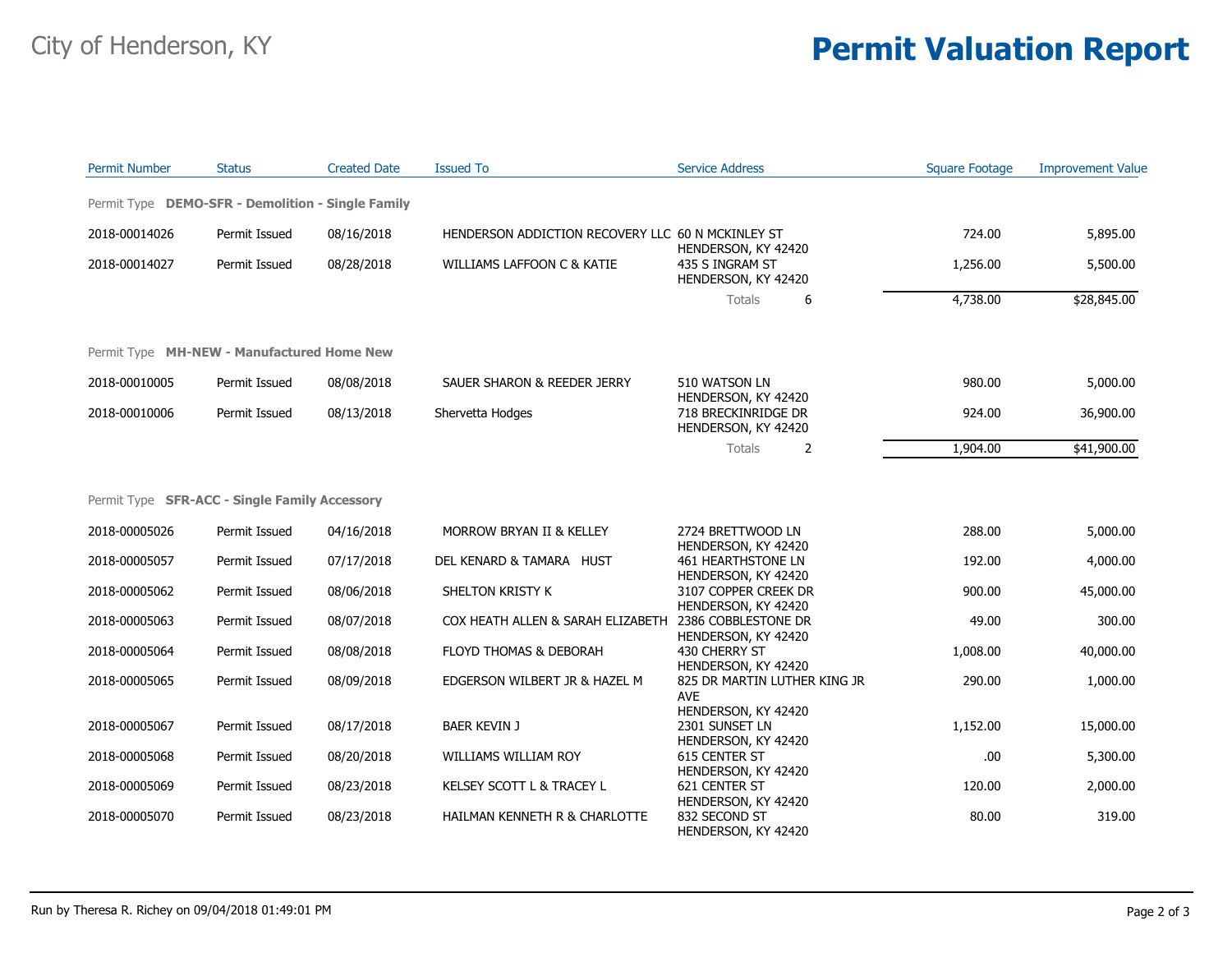## City of Henderson, KY **Permit Valuation Report**

| <b>Permit Number</b> | <b>Status</b>                                     | <b>Created Date</b> | <b>Issued To</b>                                  | <b>Service Address</b>                                             | <b>Square Footage</b> | <b>Improvement Value</b> |
|----------------------|---------------------------------------------------|---------------------|---------------------------------------------------|--------------------------------------------------------------------|-----------------------|--------------------------|
|                      | Permit Type DEMO-SFR - Demolition - Single Family |                     |                                                   |                                                                    |                       |                          |
| 2018-00014026        | Permit Issued                                     | 08/16/2018          | HENDERSON ADDICTION RECOVERY LLC 60 N MCKINLEY ST |                                                                    | 724.00                | 5,895.00                 |
| 2018-00014027        | Permit Issued                                     | 08/28/2018          | WILLIAMS LAFFOON C & KATIE                        | HENDERSON, KY 42420<br>435 S INGRAM ST<br>HENDERSON, KY 42420      | 1,256.00              | 5,500.00                 |
|                      |                                                   |                     |                                                   | Totals<br>6                                                        | 4,738.00              | \$28,845.00              |
|                      | Permit Type MH-NEW - Manufactured Home New        |                     |                                                   |                                                                    |                       |                          |
| 2018-00010005        | Permit Issued                                     | 08/08/2018          | SAUER SHARON & REEDER JERRY                       | 510 WATSON LN                                                      | 980.00                | 5,000.00                 |
| 2018-00010006        | Permit Issued                                     | 08/13/2018          | Shervetta Hodges                                  | HENDERSON, KY 42420<br>718 BRECKINRIDGE DR<br>HENDERSON, KY 42420  | 924.00                | 36,900.00                |
|                      |                                                   |                     |                                                   | Totals<br>2                                                        | 1,904.00              | \$41,900.00              |
|                      | Permit Type SFR-ACC - Single Family Accessory     |                     |                                                   |                                                                    |                       |                          |
| 2018-00005026        | Permit Issued                                     | 04/16/2018          | MORROW BRYAN II & KELLEY                          | 2724 BRETTWOOD LN                                                  | 288.00                | 5,000.00                 |
| 2018-00005057        | Permit Issued                                     | 07/17/2018          | DEL KENARD & TAMARA HUST                          | HENDERSON, KY 42420<br>461 HEARTHSTONE LN                          | 192.00                | 4,000.00                 |
| 2018-00005062        | Permit Issued                                     | 08/06/2018          | SHELTON KRISTY K                                  | HENDERSON, KY 42420<br>3107 COPPER CREEK DR<br>HENDERSON, KY 42420 | 900.00                | 45,000.00                |
| 2018-00005063        | Permit Issued                                     | 08/07/2018          | COX HEATH ALLEN & SARAH ELIZABETH                 | 2386 COBBLESTONE DR<br>HENDERSON, KY 42420                         | 49.00                 | 300.00                   |
| 2018-00005064        | Permit Issued                                     | 08/08/2018          | FLOYD THOMAS & DEBORAH                            | 430 CHERRY ST<br>HENDERSON, KY 42420                               | 1,008.00              | 40,000.00                |
| 2018-00005065        | Permit Issued                                     | 08/09/2018          | EDGERSON WILBERT JR & HAZEL M                     | 825 DR MARTIN LUTHER KING JR<br><b>AVE</b>                         | 290.00                | 1,000.00                 |
| 2018-00005067        | Permit Issued                                     | 08/17/2018          | <b>BAER KEVIN J</b>                               | HENDERSON, KY 42420<br>2301 SUNSET LN<br>HENDERSON, KY 42420       | 1,152.00              | 15,000.00                |
| 2018-00005068        | Permit Issued                                     | 08/20/2018          | WILLIAMS WILLIAM ROY                              | 615 CENTER ST<br>HENDERSON, KY 42420                               | .00.                  | 5,300.00                 |
| 2018-00005069        | Permit Issued                                     | 08/23/2018          | KELSEY SCOTT L & TRACEY L                         | 621 CENTER ST<br>HENDERSON, KY 42420                               | 120.00                | 2,000.00                 |
| 2018-00005070        | Permit Issued                                     | 08/23/2018          | HAILMAN KENNETH R & CHARLOTTE                     | 832 SECOND ST<br>HENDERSON, KY 42420                               | 80.00                 | 319.00                   |